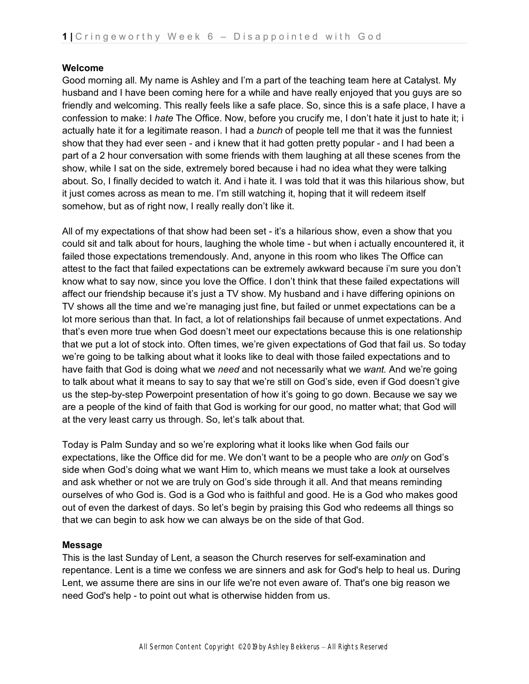## **Welcome**

Good morning all. My name is Ashley and I'm a part of the teaching team here at Catalyst. My husband and I have been coming here for a while and have really enjoyed that you guys are so friendly and welcoming. This really feels like a safe place. So, since this is a safe place, I have a confession to make: I *hate* The Office. Now, before you crucify me, I don't hate it just to hate it; i actually hate it for a legitimate reason. I had a *bunch* of people tell me that it was the funniest show that they had ever seen - and i knew that it had gotten pretty popular - and I had been a part of a 2 hour conversation with some friends with them laughing at all these scenes from the show, while I sat on the side, extremely bored because i had no idea what they were talking about. So, I finally decided to watch it. And i hate it. I was told that it was this hilarious show, but it just comes across as mean to me. I'm still watching it, hoping that it will redeem itself somehow, but as of right now, I really really don't like it.

All of my expectations of that show had been set - it's a hilarious show, even a show that you could sit and talk about for hours, laughing the whole time - but when i actually encountered it, it failed those expectations tremendously. And, anyone in this room who likes The Office can attest to the fact that failed expectations can be extremely awkward because i'm sure you don't know what to say now, since you love the Office. I don't think that these failed expectations will affect our friendship because it's just a TV show. My husband and i have differing opinions on TV shows all the time and we're managing just fine, but failed or unmet expectations can be a lot more serious than that. In fact, a lot of relationships fail because of unmet expectations. And that's even more true when God doesn't meet our expectations because this is one relationship that we put a lot of stock into. Often times, we're given expectations of God that fail us. So today we're going to be talking about what it looks like to deal with those failed expectations and to have faith that God is doing what we *need* and not necessarily what we *want.* And we're going to talk about what it means to say to say that we're still on God's side, even if God doesn't give us the step-by-step Powerpoint presentation of how it's going to go down. Because we say we are a people of the kind of faith that God is working for our good, no matter what; that God will at the very least carry us through. So, let's talk about that.

Today is Palm Sunday and so we're exploring what it looks like when God fails our expectations, like the Office did for me. We don't want to be a people who are *only* on God's side when God's doing what we want Him to, which means we must take a look at ourselves and ask whether or not we are truly on God's side through it all. And that means reminding ourselves of who God is. God is a God who is faithful and good. He is a God who makes good out of even the darkest of days. So let's begin by praising this God who redeems all things so that we can begin to ask how we can always be on the side of that God.

## **Message**

This is the last Sunday of Lent, a season the Church reserves for self-examination and repentance. Lent is a time we confess we are sinners and ask for God's help to heal us. During Lent, we assume there are sins in our life we're not even aware of. That's one big reason we need God's help - to point out what is otherwise hidden from us.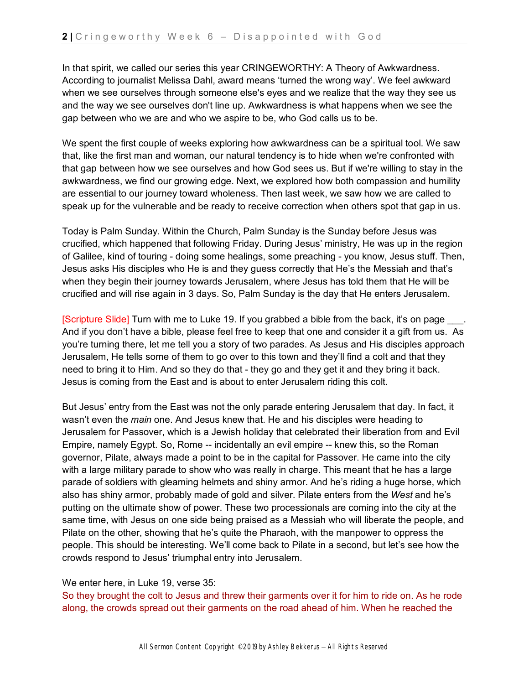In that spirit, we called our series this year CRINGEWORTHY: A Theory of Awkwardness. According to journalist Melissa Dahl, award means 'turned the wrong way'. We feel awkward when we see ourselves through someone else's eyes and we realize that the way they see us and the way we see ourselves don't line up. Awkwardness is what happens when we see the gap between who we are and who we aspire to be, who God calls us to be.

We spent the first couple of weeks exploring how awkwardness can be a spiritual tool. We saw that, like the first man and woman, our natural tendency is to hide when we're confronted with that gap between how we see ourselves and how God sees us. But if we're willing to stay in the awkwardness, we find our growing edge. Next, we explored how both compassion and humility are essential to our journey toward wholeness. Then last week, we saw how we are called to speak up for the vulnerable and be ready to receive correction when others spot that gap in us.

Today is Palm Sunday. Within the Church, Palm Sunday is the Sunday before Jesus was crucified, which happened that following Friday. During Jesus' ministry, He was up in the region of Galilee, kind of touring - doing some healings, some preaching - you know, Jesus stuff. Then, Jesus asks His disciples who He is and they guess correctly that He's the Messiah and that's when they begin their journey towards Jerusalem, where Jesus has told them that He will be crucified and will rise again in 3 days. So, Palm Sunday is the day that He enters Jerusalem.

[Scripture Slide] Turn with me to Luke 19. If you grabbed a bible from the back, it's on page And if you don't have a bible, please feel free to keep that one and consider it a gift from us. As you're turning there, let me tell you a story of two parades. As Jesus and His disciples approach Jerusalem, He tells some of them to go over to this town and they'll find a colt and that they need to bring it to Him. And so they do that - they go and they get it and they bring it back. Jesus is coming from the East and is about to enter Jerusalem riding this colt.

But Jesus' entry from the East was not the only parade entering Jerusalem that day. In fact, it wasn't even the *main* one. And Jesus knew that. He and his disciples were heading to Jerusalem for Passover, which is a Jewish holiday that celebrated their liberation from and Evil Empire, namely Egypt. So, Rome -- incidentally an evil empire -- knew this, so the Roman governor, Pilate, always made a point to be in the capital for Passover. He came into the city with a large military parade to show who was really in charge. This meant that he has a large parade of soldiers with gleaming helmets and shiny armor. And he's riding a huge horse, which also has shiny armor, probably made of gold and silver. Pilate enters from the *West* and he's putting on the ultimate show of power. These two processionals are coming into the city at the same time, with Jesus on one side being praised as a Messiah who will liberate the people, and Pilate on the other, showing that he's quite the Pharaoh, with the manpower to oppress the people. This should be interesting. We'll come back to Pilate in a second, but let's see how the crowds respond to Jesus' triumphal entry into Jerusalem.

## We enter here, in Luke 19, verse 35:

So they brought the colt to Jesus and threw their garments over it for him to ride on. As he rode along, the crowds spread out their garments on the road ahead of him. When he reached the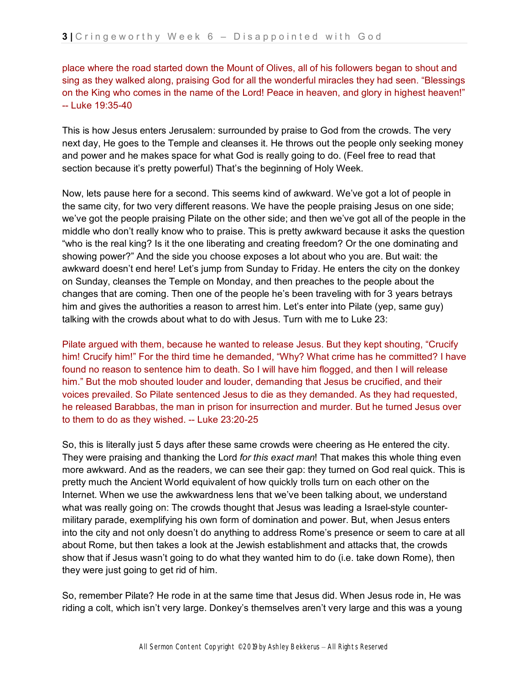place where the road started down the Mount of Olives, all of his followers began to shout and sing as they walked along, praising God for all the wonderful miracles they had seen. "Blessings on the King who comes in the name of the Lord! Peace in heaven, and glory in highest heaven!" -- Luke 19:35-40

This is how Jesus enters Jerusalem: surrounded by praise to God from the crowds. The very next day, He goes to the Temple and cleanses it. He throws out the people only seeking money and power and he makes space for what God is really going to do. (Feel free to read that section because it's pretty powerful) That's the beginning of Holy Week.

Now, lets pause here for a second. This seems kind of awkward. We've got a lot of people in the same city, for two very different reasons. We have the people praising Jesus on one side; we've got the people praising Pilate on the other side; and then we've got all of the people in the middle who don't really know who to praise. This is pretty awkward because it asks the question "who is the real king? Is it the one liberating and creating freedom? Or the one dominating and showing power?" And the side you choose exposes a lot about who you are. But wait: the awkward doesn't end here! Let's jump from Sunday to Friday. He enters the city on the donkey on Sunday, cleanses the Temple on Monday, and then preaches to the people about the changes that are coming. Then one of the people he's been traveling with for 3 years betrays him and gives the authorities a reason to arrest him. Let's enter into Pilate (yep, same guy) talking with the crowds about what to do with Jesus. Turn with me to Luke 23:

Pilate argued with them, because he wanted to release Jesus. But they kept shouting, "Crucify him! Crucify him!" For the third time he demanded, "Why? What crime has he committed? I have found no reason to sentence him to death. So I will have him flogged, and then I will release him." But the mob shouted louder and louder, demanding that Jesus be crucified, and their voices prevailed. So Pilate sentenced Jesus to die as they demanded. As they had requested, he released Barabbas, the man in prison for insurrection and murder. But he turned Jesus over to them to do as they wished. -- Luke 23:20-25

So, this is literally just 5 days after these same crowds were cheering as He entered the city. They were praising and thanking the Lord *for this exact man*! That makes this whole thing even more awkward. And as the readers, we can see their gap: they turned on God real quick. This is pretty much the Ancient World equivalent of how quickly trolls turn on each other on the Internet. When we use the awkwardness lens that we've been talking about, we understand what was really going on: The crowds thought that Jesus was leading a Israel-style countermilitary parade, exemplifying his own form of domination and power. But, when Jesus enters into the city and not only doesn't do anything to address Rome's presence or seem to care at all about Rome, but then takes a look at the Jewish establishment and attacks that, the crowds show that if Jesus wasn't going to do what they wanted him to do (i.e. take down Rome), then they were just going to get rid of him.

So, remember Pilate? He rode in at the same time that Jesus did. When Jesus rode in, He was riding a colt, which isn't very large. Donkey's themselves aren't very large and this was a young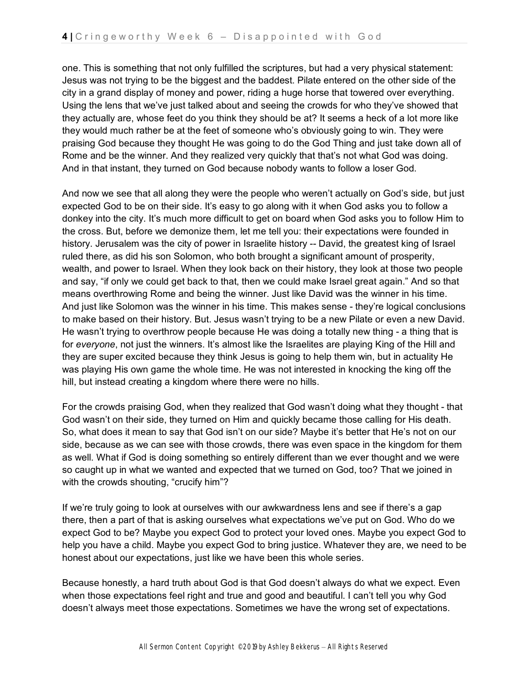one. This is something that not only fulfilled the scriptures, but had a very physical statement: Jesus was not trying to be the biggest and the baddest. Pilate entered on the other side of the city in a grand display of money and power, riding a huge horse that towered over everything. Using the lens that we've just talked about and seeing the crowds for who they've showed that they actually are, whose feet do you think they should be at? It seems a heck of a lot more like they would much rather be at the feet of someone who's obviously going to win. They were praising God because they thought He was going to do the God Thing and just take down all of Rome and be the winner. And they realized very quickly that that's not what God was doing. And in that instant, they turned on God because nobody wants to follow a loser God.

And now we see that all along they were the people who weren't actually on God's side, but just expected God to be on their side. It's easy to go along with it when God asks you to follow a donkey into the city. It's much more difficult to get on board when God asks you to follow Him to the cross. But, before we demonize them, let me tell you: their expectations were founded in history. Jerusalem was the city of power in Israelite history -- David, the greatest king of Israel ruled there, as did his son Solomon, who both brought a significant amount of prosperity, wealth, and power to Israel. When they look back on their history, they look at those two people and say, "if only we could get back to that, then we could make Israel great again." And so that means overthrowing Rome and being the winner. Just like David was the winner in his time. And just like Solomon was the winner in his time. This makes sense - they're logical conclusions to make based on their history. But. Jesus wasn't trying to be a new Pilate or even a new David. He wasn't trying to overthrow people because He was doing a totally new thing - a thing that is for *everyone*, not just the winners. It's almost like the Israelites are playing King of the Hill and they are super excited because they think Jesus is going to help them win, but in actuality He was playing His own game the whole time. He was not interested in knocking the king off the hill, but instead creating a kingdom where there were no hills.

For the crowds praising God, when they realized that God wasn't doing what they thought - that God wasn't on their side, they turned on Him and quickly became those calling for His death. So, what does it mean to say that God isn't on our side? Maybe it's better that He's not on our side, because as we can see with those crowds, there was even space in the kingdom for them as well. What if God is doing something so entirely different than we ever thought and we were so caught up in what we wanted and expected that we turned on God, too? That we joined in with the crowds shouting, "crucify him"?

If we're truly going to look at ourselves with our awkwardness lens and see if there's a gap there, then a part of that is asking ourselves what expectations we've put on God. Who do we expect God to be? Maybe you expect God to protect your loved ones. Maybe you expect God to help you have a child. Maybe you expect God to bring justice. Whatever they are, we need to be honest about our expectations, just like we have been this whole series.

Because honestly, a hard truth about God is that God doesn't always do what we expect. Even when those expectations feel right and true and good and beautiful. I can't tell you why God doesn't always meet those expectations. Sometimes we have the wrong set of expectations.